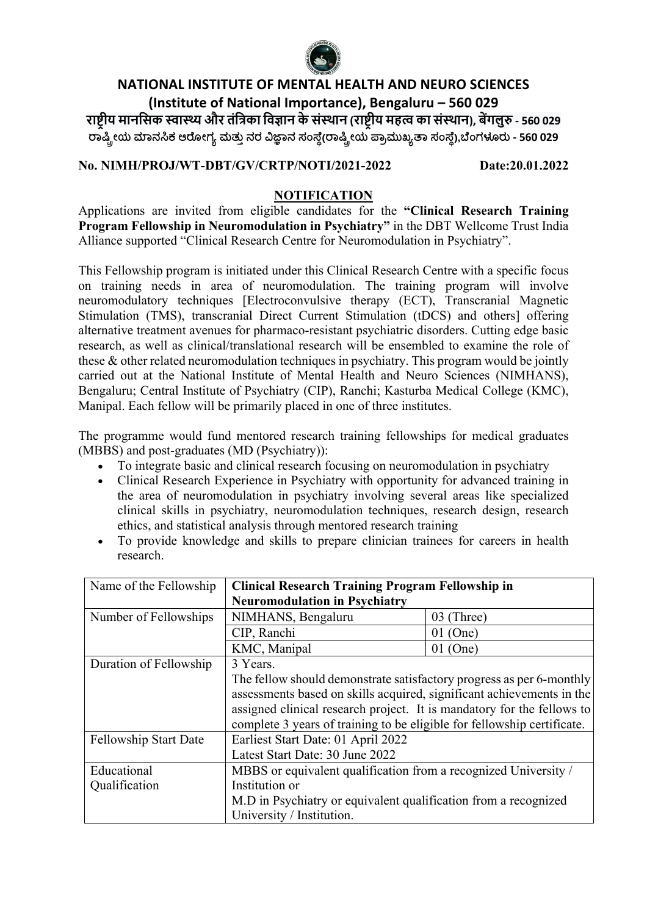

# **NATIONAL INSTITUTE OF MENTAL HEALTH AND NEURO SCIENCES (Institute of National Importance), Bengaluru – 560 029 रा#\$ीय मानिसक ,ा-और तंि1का िव3ान केसं5थान (रा#\$ीय मह8 का सं5थान), ब:गलु> - 560 029 !ಾ#\$ೕಯ (ಾನ\*ಕ ಆ!ೋಗ0 ಮತು4 ನರ 67ಾನ ಸಂ:ೆ;(!ಾ#\$ೕಯ =ಾ>ಮುಖ0@ಾ ಸಂ:ೆ;),CೆಂಗಳEರು - 560 029**

### **No. NIMH/PROJ/WT-DBT/GV/CRTP/NOTI/2021-2022 Date:20.01.2022**

### **NOTIFICATION**

Applications are invited from eligible candidates for the **"Clinical Research Training Program Fellowship in Neuromodulation in Psychiatry"** in the DBT Wellcome Trust India Alliance supported "Clinical Research Centre for Neuromodulation in Psychiatry".

This Fellowship program is initiated under this Clinical Research Centre with a specific focus on training needs in area of neuromodulation. The training program will involve neuromodulatory techniques [Electroconvulsive therapy (ECT), Transcranial Magnetic Stimulation (TMS), transcranial Direct Current Stimulation (tDCS) and others] offering alternative treatment avenues for pharmaco-resistant psychiatric disorders. Cutting edge basic research, as well as clinical/translational research will be ensembled to examine the role of these & other related neuromodulation techniques in psychiatry. This program would be jointly carried out at the National Institute of Mental Health and Neuro Sciences (NIMHANS), Bengaluru; Central Institute of Psychiatry (CIP), Ranchi; Kasturba Medical College (KMC), Manipal. Each fellow will be primarily placed in one of three institutes.

The programme would fund mentored research training fellowships for medical graduates (MBBS) and post-graduates (MD (Psychiatry)):

- To integrate basic and clinical research focusing on neuromodulation in psychiatry
- Clinical Research Experience in Psychiatry with opportunity for advanced training in the area of neuromodulation in psychiatry involving several areas like specialized clinical skills in psychiatry, neuromodulation techniques, research design, research ethics, and statistical analysis through mentored research training
- To provide knowledge and skills to prepare clinician trainees for careers in health research.

| Name of the Fellowship | <b>Clinical Research Training Program Fellowship in</b>                 |            |  |
|------------------------|-------------------------------------------------------------------------|------------|--|
|                        | <b>Neuromodulation in Psychiatry</b>                                    |            |  |
| Number of Fellowships  | NIMHANS, Bengaluru                                                      | 03 (Three) |  |
|                        | CIP, Ranchi                                                             | $01$ (One) |  |
|                        | KMC, Manipal                                                            | $01$ (One) |  |
| Duration of Fellowship | 3 Years.                                                                |            |  |
|                        | The fellow should demonstrate satisfactory progress as per 6-monthly    |            |  |
|                        | assessments based on skills acquired, significant achievements in the   |            |  |
|                        | assigned clinical research project. It is mandatory for the fellows to  |            |  |
|                        | complete 3 years of training to be eligible for fellowship certificate. |            |  |
| Fellowship Start Date  | Earliest Start Date: 01 April 2022                                      |            |  |
|                        | Latest Start Date: 30 June 2022                                         |            |  |
| Educational            | MBBS or equivalent qualification from a recognized University /         |            |  |
| Qualification          | Institution or                                                          |            |  |
|                        | M.D in Psychiatry or equivalent qualification from a recognized         |            |  |
|                        | University / Institution.                                               |            |  |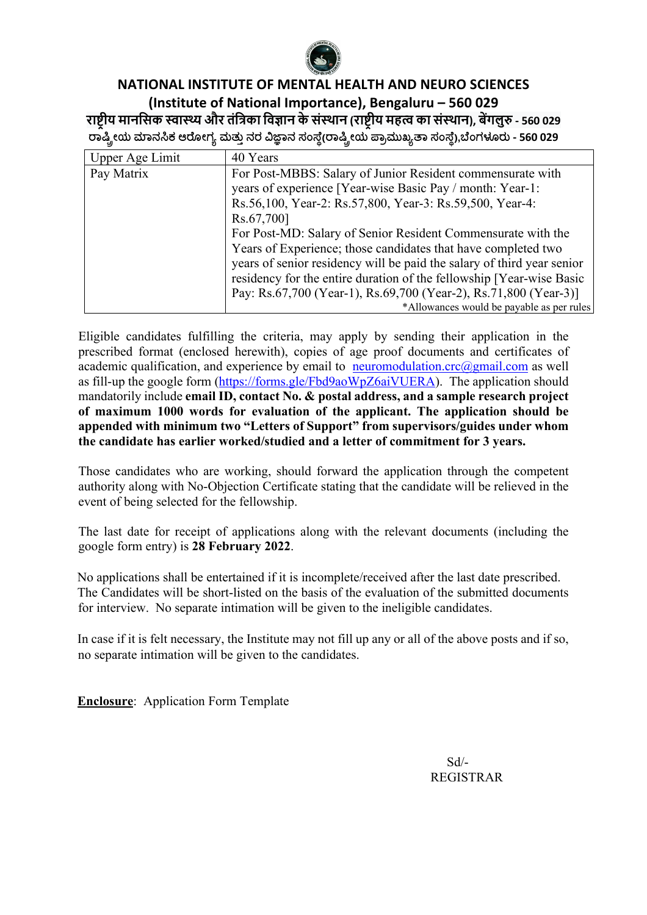

### **NATIONAL INSTITUTE OF MENTAL HEALTH AND NEURO SCIENCES (Institute of National Importance), Bengaluru – 560 029 रा#\$ीय मानिसक ,ा-और तंि1का िव3ान केसं5थान (रा#\$ीय मह8 का सं5थान), ब:गलु> - 560 029 !ಾ#\$ೕಯ (ಾನ\*ಕ ಆ!ೋಗ0 ಮತು4 ನರ 67ಾನ ಸಂ:ೆ;(!ಾ#\$ೕಯ =ಾ>ಮುಖ0@ಾ ಸಂ:ೆ;),CೆಂಗಳEರು - 560 029**

| <b>Upper Age Limit</b> | 40 Years                                                               |
|------------------------|------------------------------------------------------------------------|
| Pay Matrix             | For Post-MBBS: Salary of Junior Resident commensurate with             |
|                        | years of experience [Year-wise Basic Pay / month: Year-1:              |
|                        | Rs.56,100, Year-2: Rs.57,800, Year-3: Rs.59,500, Year-4:               |
|                        | Rs.67,700]                                                             |
|                        | For Post-MD: Salary of Senior Resident Commensurate with the           |
|                        | Years of Experience; those candidates that have completed two          |
|                        | years of senior residency will be paid the salary of third year senior |
|                        | residency for the entire duration of the fellowship [Year-wise Basic   |
|                        | Pay: Rs.67,700 (Year-1), Rs.69,700 (Year-2), Rs.71,800 (Year-3)]       |
|                        | *Allowances would be payable as per rules                              |

Eligible candidates fulfilling the criteria, may apply by sending their application in the prescribed format (enclosed herewith), copies of age proof documents and certificates of academic qualification, and experience by email to neuromodulation.crc $\omega$ gmail.com as well as fill-up the google form (https://forms.gle/Fbd9aoWpZ6aiVUERA). The application should mandatorily include **email ID, contact No. & postal address, and a sample research project of maximum 1000 words for evaluation of the applicant. The application should be appended with minimum two "Letters of Support" from supervisors/guides under whom the candidate has earlier worked/studied and a letter of commitment for 3 years.**

Those candidates who are working, should forward the application through the competent authority along with No-Objection Certificate stating that the candidate will be relieved in the event of being selected for the fellowship.

The last date for receipt of applications along with the relevant documents (including the google form entry) is **28 February 2022**.

No applications shall be entertained if it is incomplete/received after the last date prescribed. The Candidates will be short-listed on the basis of the evaluation of the submitted documents for interview. No separate intimation will be given to the ineligible candidates.

In case if it is felt necessary, the Institute may not fill up any or all of the above posts and if so, no separate intimation will be given to the candidates.

**Enclosure**: Application Form Template

 Sd/- REGISTRAR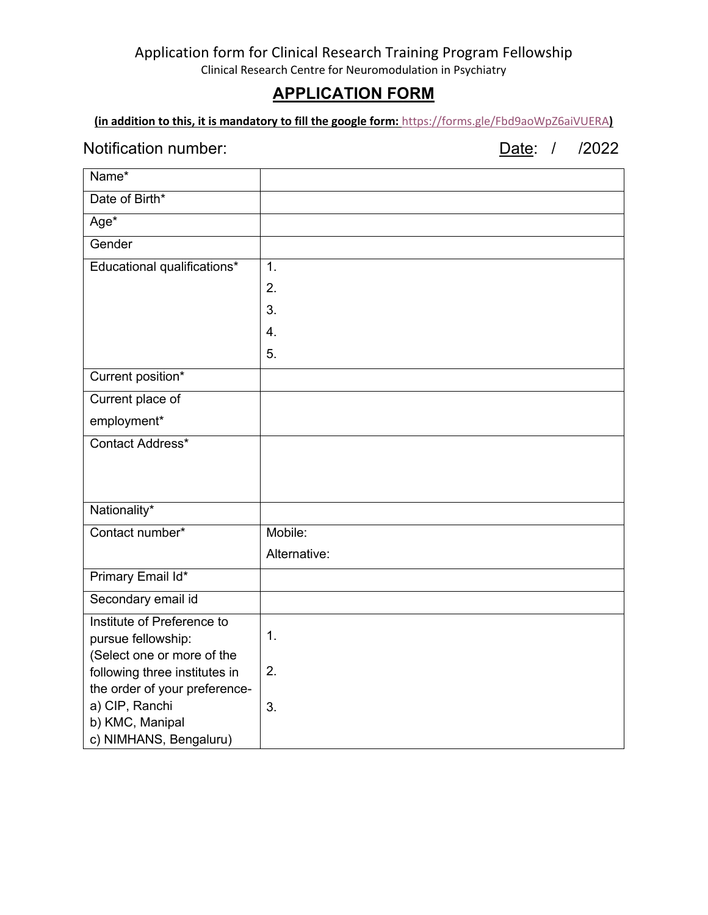# **APPLICATION FORM**

**(in addition to this, it is mandatory to fill the google form:** https://forms.gle/Fbd9aoWpZ6aiVUERA**)**

### Notification number: Date: / /2022

| Name*                                                       |              |
|-------------------------------------------------------------|--------------|
| Date of Birth*                                              |              |
| $Age*$                                                      |              |
| Gender                                                      |              |
| Educational qualifications*                                 | 1.           |
|                                                             | 2.           |
|                                                             | 3.           |
|                                                             | 4.           |
|                                                             | 5.           |
| Current position*                                           |              |
| Current place of                                            |              |
| employment*                                                 |              |
| Contact Address*                                            |              |
|                                                             |              |
|                                                             |              |
| Nationality*                                                |              |
| Contact number*                                             | Mobile:      |
|                                                             | Alternative: |
| Primary Email Id*                                           |              |
| Secondary email id                                          |              |
| Institute of Preference to                                  |              |
| pursue fellowship:                                          | 1.           |
| (Select one or more of the<br>following three institutes in | 2.           |
| the order of your preference-                               |              |
| a) CIP, Ranchi                                              | 3.           |
| b) KMC, Manipal                                             |              |
| c) NIMHANS, Bengaluru)                                      |              |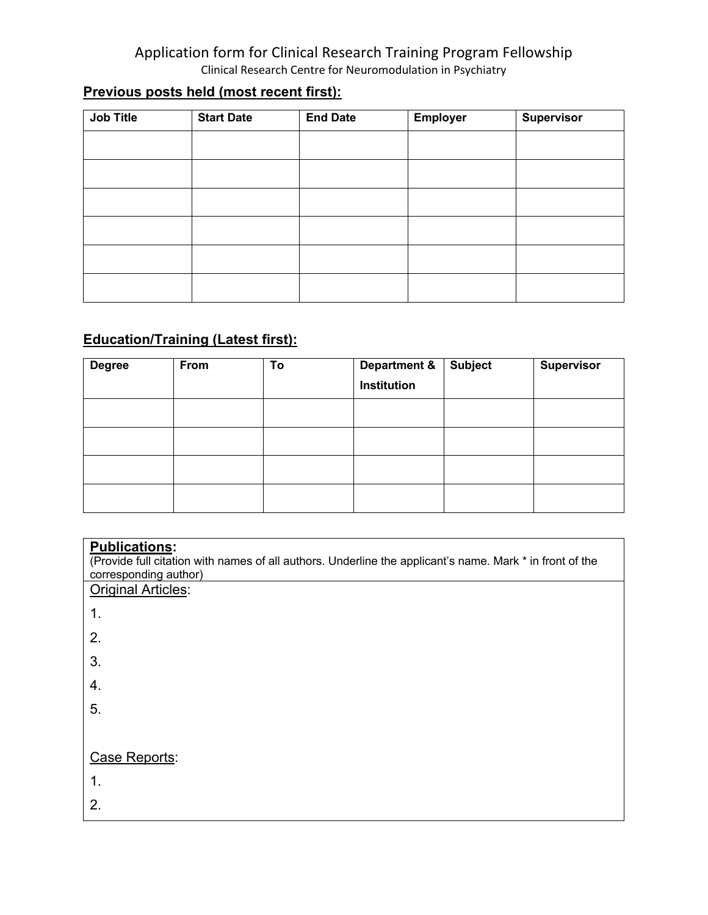# **Previous posts held (most recent first):**

| Job Title | <b>Start Date</b> | <b>End Date</b> | <b>Employer</b> | <b>Supervisor</b> |
|-----------|-------------------|-----------------|-----------------|-------------------|
|           |                   |                 |                 |                   |
|           |                   |                 |                 |                   |
|           |                   |                 |                 |                   |
|           |                   |                 |                 |                   |
|           |                   |                 |                 |                   |
|           |                   |                 |                 |                   |

# **Education/Training (Latest first):**

| <b>Degree</b> | From | To | <b>Department &amp;</b><br>Institution | <b>Subject</b> | <b>Supervisor</b> |
|---------------|------|----|----------------------------------------|----------------|-------------------|
|               |      |    |                                        |                |                   |
|               |      |    |                                        |                |                   |
|               |      |    |                                        |                |                   |
|               |      |    |                                        |                |                   |

| <b>Publications:</b><br>(Provide full citation with names of all authors. Underline the applicant's name. Mark * in front of the<br>corresponding author) |
|-----------------------------------------------------------------------------------------------------------------------------------------------------------|
| <b>Original Articles:</b>                                                                                                                                 |
| 1.                                                                                                                                                        |
| 2.                                                                                                                                                        |
| 3.                                                                                                                                                        |
| 4.                                                                                                                                                        |
| 5.                                                                                                                                                        |
|                                                                                                                                                           |
| Case Reports:                                                                                                                                             |
| 1.                                                                                                                                                        |
| 2.                                                                                                                                                        |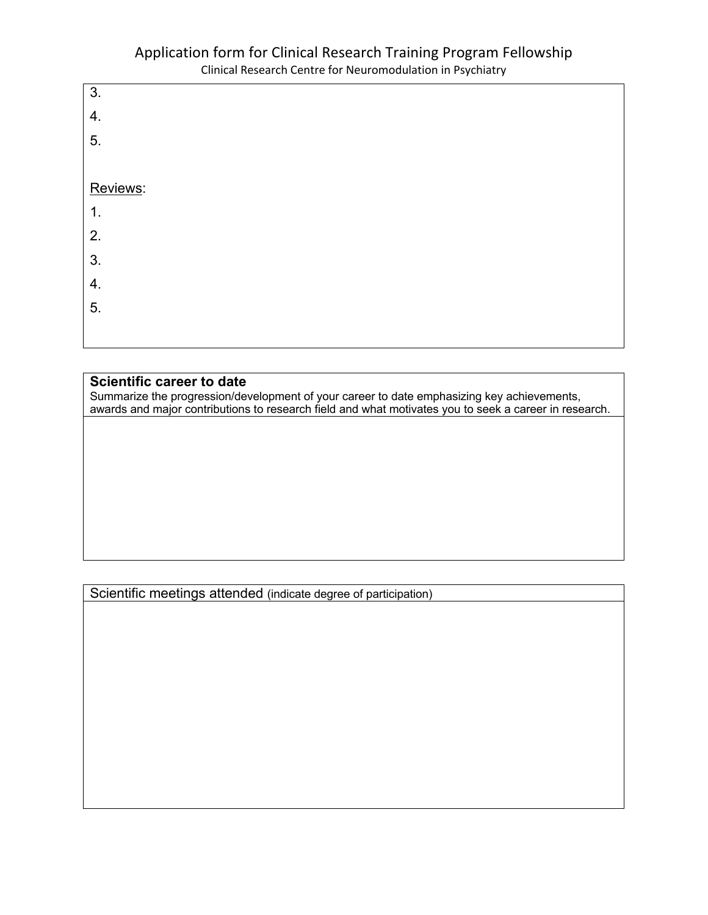

#### **Scientific career to date**

Summarize the progression/development of your career to date emphasizing key achievements, awards and major contributions to research field and what motivates you to seek a career in research.

Scientific meetings attended (indicate degree of participation)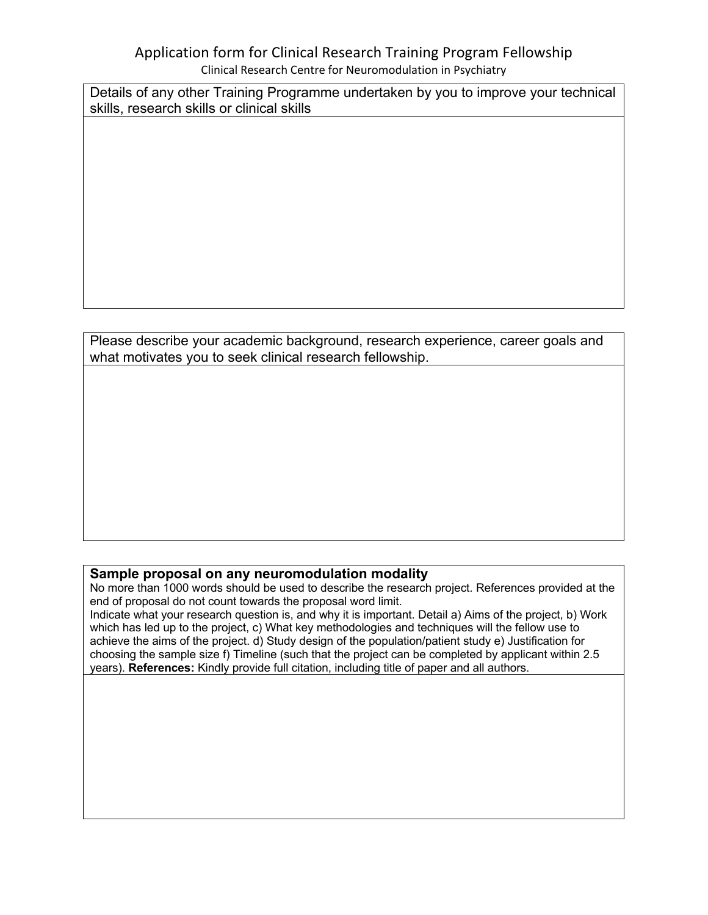Details of any other Training Programme undertaken by you to improve your technical skills, research skills or clinical skills

Please describe your academic background, research experience, career goals and what motivates you to seek clinical research fellowship.

### **Sample proposal on any neuromodulation modality**

No more than 1000 words should be used to describe the research project. References provided at the end of proposal do not count towards the proposal word limit.

Indicate what your research question is, and why it is important. Detail a) Aims of the project, b) Work which has led up to the project, c) What key methodologies and techniques will the fellow use to achieve the aims of the project. d) Study design of the population/patient study e) Justification for choosing the sample size f) Timeline (such that the project can be completed by applicant within 2.5 years). **References:** Kindly provide full citation, including title of paper and all authors.